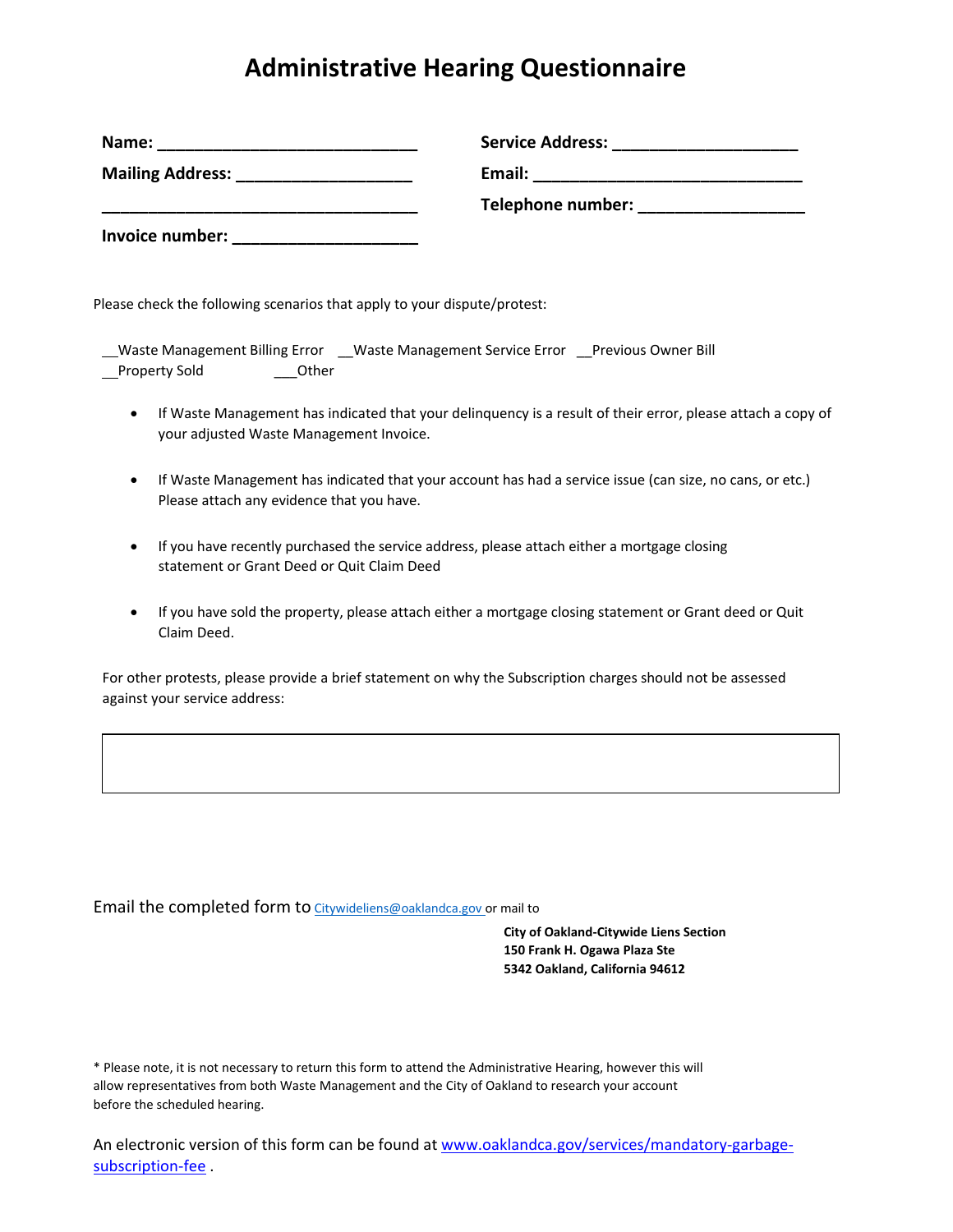## **Administrative Hearing Questionnaire**

| Name:                                    | <b>Service Address:</b> |
|------------------------------------------|-------------------------|
| <b>Mailing Address:</b> Mailing Address: | Email:                  |
|                                          | Telephone number:       |
| Invoice number:                          |                         |

Please check the following scenarios that apply to your dispute/protest:

| Waste Management Billing Error |       | Waste Management Service Error | <b>Previous Owner Bill</b> |
|--------------------------------|-------|--------------------------------|----------------------------|
| Property Sold                  | Other |                                |                            |

- If Waste Management has indicated that your delinquency is a result of their error, please attach a copy of your adjusted Waste Management Invoice.
- If Waste Management has indicated that your account has had a service issue (can size, no cans, or etc.) Please attach any evidence that you have.
- If you have recently purchased the service address, please attach either a mortgage closing statement or Grant Deed or Quit Claim Deed
- If you have sold the property, please attach either a mortgage closing statement or Grant deed or Quit Claim Deed.

For other protests, please provide a brief statement on why the Subscription charges should not be assessed against your service address:

Email the completed form to [Citywideliens@oaklandca.gov o](mailto:Citywideliens@oaklandca.gov)r mail to

**City of Oakland‐Citywide Liens Section 150 Frank H. Ogawa Plaza Ste 5342 Oakland, California 94612**

\* Please note, it is not necessary to return this form to attend the Administrative Hearing, however this will allow representatives from both Waste Management and the City of Oakland to research your account before the scheduled hearing.

An electronic version of this form can be found a[t www.oaklandca.gov/services/mandatory-garbage](http://www.oaklandca.gov/services/mandatory-garbage-subscription-fee)[subscription-fee](http://www.oaklandca.gov/services/mandatory-garbage-subscription-fee) .